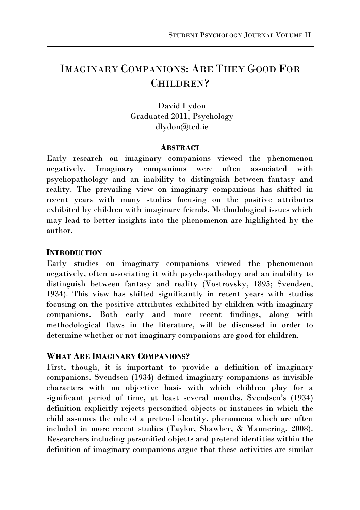# IMAGINARY COMPANIONS: ARE THEY GOOD FOR CHILDREN?

David Lydon Graduated 2011, Psychology dlydon@tcd.ie

## **ABSTRACT**

Early research on imaginary companions viewed the phenomenon negatively. Imaginary companions were often associated with psychopathology and an inability to distinguish between fantasy and reality. The prevailing view on imaginary companions has shifted in recent years with many studies focusing on the positive attributes exhibited by children with imaginary friends. Methodological issues which may lead to better insights into the phenomenon are highlighted by the author.

## **INTRODUCTION**

Early studies on imaginary companions viewed the phenomenon negatively, often associating it with psychopathology and an inability to distinguish between fantasy and reality (Vostrovsky, 1895; Svendsen, 1934). This view has shifted significantly in recent years with studies focusing on the positive attributes exhibited by children with imaginary companions. Both early and more recent findings, along with methodological flaws in the literature, will be discussed in order to determine whether or not imaginary companions are good for children.

## **WHAT ARE IMAGINARY COMPANIONS?**

First, though, it is important to provide a definition of imaginary companions. Svendsen (1934) defined imaginary companions as invisible characters with no objective basis with which children play for a significant period of time, at least several months. Svendsen's (1934) definition explicitly rejects personified objects or instances in which the child assumes the role of a pretend identity, phenomena which are often included in more recent studies (Taylor, Shawber, & Mannering, 2008). Researchers including personified objects and pretend identities within the definition of imaginary companions argue that these activities are similar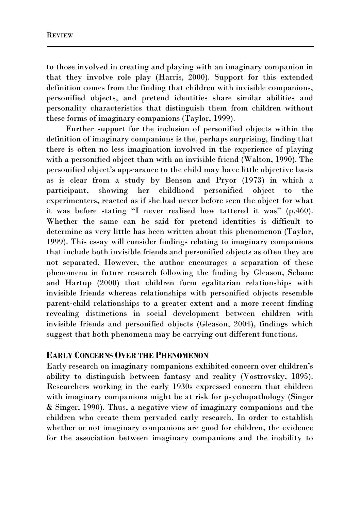to those involved in creating and playing with an imaginary companion in that they involve role play (Harris, 2000). Support for this extended definition comes from the finding that children with invisible companions, personified objects, and pretend identities share similar abilities and personality characteristics that distinguish them from children without these forms of imaginary companions (Taylor, 1999).

Further support for the inclusion of personified objects within the definition of imaginary companions is the, perhaps surprising, finding that there is often no less imagination involved in the experience of playing with a personified object than with an invisible friend (Walton, 1990). The personified object's appearance to the child may have little objective basis as is clear from a study by Benson and Pryor (1973) in which a participant, showing her childhood personified object to the experimenters, reacted as if she had never before seen the object for what it was before stating "I never realised how tattered it was" (p.460). Whether the same can be said for pretend identities is difficult to determine as very little has been written about this phenomenon (Taylor, 1999). This essay will consider findings relating to imaginary companions that include both invisible friends and personified objects as often they are not separated. However, the author encourages a separation of these phenomena in future research following the finding by Gleason, Sebanc and Hartup (2000) that children form egalitarian relationships with invisible friends whereas relationships with personified objects resemble parent-child relationships to a greater extent and a more recent finding revealing distinctions in social development between children with invisible friends and personified objects (Gleason, 2004), findings which suggest that both phenomena may be carrying out different functions.

## **EARLY CONCERNS OVER THE PHENOMENON**

Early research on imaginary companions exhibited concern over children's ability to distinguish between fantasy and reality (Vostrovsky, 1895). Researchers working in the early 1930s expressed concern that children with imaginary companions might be at risk for psychopathology (Singer & Singer, 1990). Thus, a negative view of imaginary companions and the children who create them pervaded early research. In order to establish whether or not imaginary companions are good for children, the evidence for the association between imaginary companions and the inability to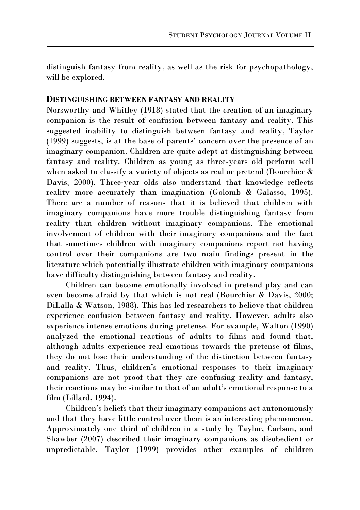distinguish fantasy from reality, as well as the risk for psychopathology, will be explored.

## **DISTINGUISHING BETWEEN FANTASY AND REALITY**

Norsworthy and Whitley (1918) stated that the creation of an imaginary companion is the result of confusion between fantasy and reality. This suggested inability to distinguish between fantasy and reality, Taylor (1999) suggests, is at the base of parents' concern over the presence of an imaginary companion. Children are quite adept at distinguishing between fantasy and reality. Children as young as three-years old perform well when asked to classify a variety of objects as real or pretend (Bourchier  $\&$ Davis, 2000). Three-year olds also understand that knowledge reflects reality more accurately than imagination (Golomb & Galasso, 1995). There are a number of reasons that it is believed that children with imaginary companions have more trouble distinguishing fantasy from reality than children without imaginary companions. The emotional involvement of children with their imaginary companions and the fact that sometimes children with imaginary companions report not having control over their companions are two main findings present in the literature which potentially illustrate children with imaginary companions have difficulty distinguishing between fantasy and reality.

 Children can become emotionally involved in pretend play and can even become afraid by that which is not real (Bourchier & Davis, 2000; DiLalla & Watson, 1988). This has led researchers to believe that children experience confusion between fantasy and reality. However, adults also experience intense emotions during pretense. For example, Walton (1990) analyzed the emotional reactions of adults to films and found that, although adults experience real emotions towards the pretense of films, they do not lose their understanding of the distinction between fantasy and reality. Thus, children's emotional responses to their imaginary companions are not proof that they are confusing reality and fantasy, their reactions may be similar to that of an adult's emotional response to a film (Lillard, 1994).

Children's beliefs that their imaginary companions act autonomously and that they have little control over them is an interesting phenomenon. Approximately one third of children in a study by Taylor, Carlson, and Shawber (2007) described their imaginary companions as disobedient or unpredictable. Taylor (1999) provides other examples of children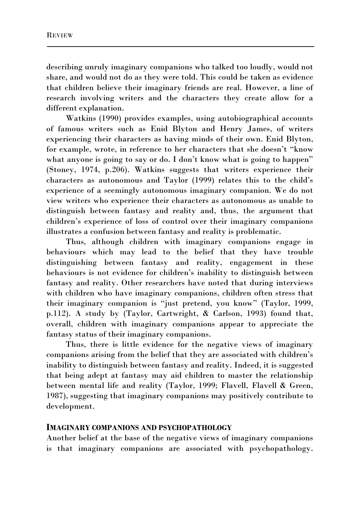describing unruly imaginary companions who talked too loudly, would not share, and would not do as they were told. This could be taken as evidence that children believe their imaginary friends are real. However, a line of research involving writers and the characters they create allow for a different explanation.

Watkins (1990) provides examples, using autobiographical accounts of famous writers such as Enid Blyton and Henry James, of writers experiencing their characters as having minds of their own. Enid Blyton, for example, wrote, in reference to her characters that she doesn't "know what anyone is going to say or do. I don't know what is going to happen" (Stoney, 1974, p.206). Watkins suggests that writers experience their characters as autonomous and Taylor (1999) relates this to the child's experience of a seemingly autonomous imaginary companion. We do not view writers who experience their characters as autonomous as unable to distinguish between fantasy and reality and, thus, the argument that children's experience of loss of control over their imaginary companions illustrates a confusion between fantasy and reality is problematic.

 Thus, although children with imaginary companions engage in behaviours which may lead to the belief that they have trouble distinguishing between fantasy and reality, engagement in these behaviours is not evidence for children's inability to distinguish between fantasy and reality. Other researchers have noted that during interviews with children who have imaginary companions, children often stress that their imaginary companion is "just pretend, you know" (Taylor, 1999, p.112). A study by (Taylor, Cartwright, & Carlson, 1993) found that, overall, children with imaginary companions appear to appreciate the fantasy status of their imaginary companions.

 Thus, there is little evidence for the negative views of imaginary companions arising from the belief that they are associated with children's inability to distinguish between fantasy and reality. Indeed, it is suggested that being adept at fantasy may aid children to master the relationship between mental life and reality (Taylor, 1999; Flavell, Flavell & Green, 1987), suggesting that imaginary companions may positively contribute to development.

#### **IMAGINARY COMPANIONS AND PSYCHOPATHOLOGY**

Another belief at the base of the negative views of imaginary companions is that imaginary companions are associated with psychopathology.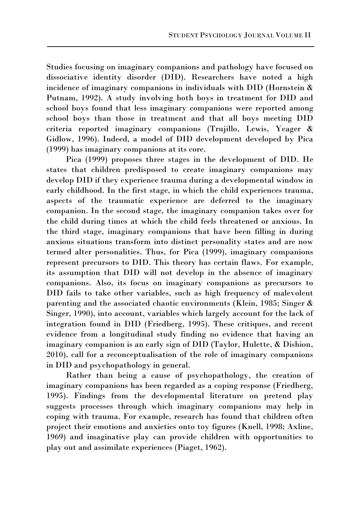Studies focusing on imaginary companions and pathology have focused on dissociative identity disorder (DID). Researchers have noted a high incidence of imaginary companions in individuals with DID (Hornstein & Putnam, 1992). A study involving both boys in treatment for DID and school boys found that less imaginary companions were reported among school boys than those in treatment and that all boys meeting DID criteria reported imaginary companions (Trujillo, Lewis, Yeager & Gidlow, 1996). Indeed, a model of DID development developed by Pica (1999) has imaginary companions at its core.

Pica (1999) proposes three stages in the development of DID. He states that children predisposed to create imaginary companions may develop DID if they experience trauma during a developmental window in early childhood. In the first stage, in which the child experiences trauma, aspects of the traumatic experience are deferred to the imaginary companion. In the second stage, the imaginary companion takes over for the child during times at which the child feels threatened or anxious. In the third stage, imaginary companions that have been filling in during anxious situations transform into distinct personality states and are now termed alter personalities. Thus, for Pica (1999), imaginary companions represent precursors to DID. This theory has certain flaws. For example, its assumption that DID will not develop in the absence of imaginary companions. Also, its focus on imaginary companions as precursors to DID fails to take other variables, such as high frequency of malevolent parenting and the associated chaotic environments (Klein, 1985; Singer & Singer, 1990), into account, variables which largely account for the lack of integration found in DID (Friedberg, 1995). These critiques, and recent evidence from a longitudinal study finding no evidence that having an imaginary companion is an early sign of DID (Taylor, Hulette, & Dishion, 2010), call for a reconceptualisation of the role of imaginary companions in DID and psychopathology in general.

 Rather than being a cause of psychopathology, the creation of imaginary companions has been regarded as a coping response (Friedberg, 1995). Findings from the developmental literature on pretend play suggests processes through which imaginary companions may help in coping with trauma. For example, research has found that children often project their emotions and anxieties onto toy figures (Knell, 1998; Axline, 1969) and imaginative play can provide children with opportunities to play out and assimilate experiences (Piaget, 1962).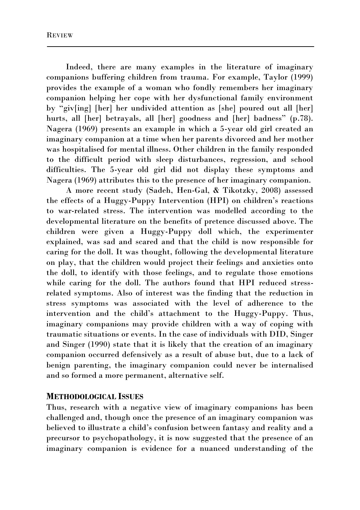Indeed, there are many examples in the literature of imaginary companions buffering children from trauma. For example, Taylor (1999) provides the example of a woman who fondly remembers her imaginary companion helping her cope with her dysfunctional family environment by "giv[ing] [her] her undivided attention as [she] poured out all [her] hurts, all [her] betrayals, all [her] goodness and [her] badness" (p.78). Nagera (1969) presents an example in which a 5-year old girl created an imaginary companion at a time when her parents divorced and her mother was hospitalised for mental illness. Other children in the family responded to the difficult period with sleep disturbances, regression, and school difficulties. The 5-year old girl did not display these symptoms and Nagera (1969) attributes this to the presence of her imaginary companion.

A more recent study (Sadeh, Hen-Gal, & Tikotzky, 2008) assessed the effects of a Huggy-Puppy Intervention (HPI) on children's reactions to war-related stress. The intervention was modelled according to the developmental literature on the benefits of pretence discussed above. The children were given a Huggy-Puppy doll which, the experimenter explained, was sad and scared and that the child is now responsible for caring for the doll. It was thought, following the developmental literature on play, that the children would project their feelings and anxieties onto the doll, to identify with those feelings, and to regulate those emotions while caring for the doll. The authors found that HPI reduced stressrelated symptoms. Also of interest was the finding that the reduction in stress symptoms was associated with the level of adherence to the intervention and the child's attachment to the Huggy-Puppy. Thus, imaginary companions may provide children with a way of coping with traumatic situations or events. In the case of individuals with DID, Singer and Singer (1990) state that it is likely that the creation of an imaginary companion occurred defensively as a result of abuse but, due to a lack of benign parenting, the imaginary companion could never be internalised and so formed a more permanent, alternative self.

### **METHODOLOGICAL ISSUES**

Thus, research with a negative view of imaginary companions has been challenged and, though once the presence of an imaginary companion was believed to illustrate a child's confusion between fantasy and reality and a precursor to psychopathology, it is now suggested that the presence of an imaginary companion is evidence for a nuanced understanding of the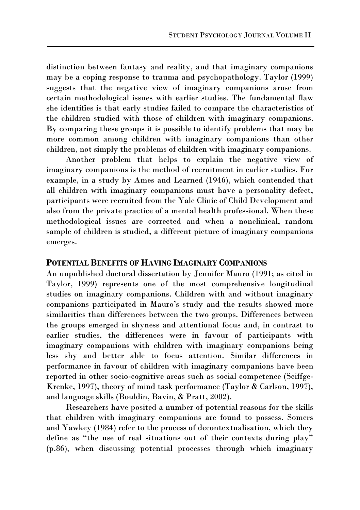distinction between fantasy and reality, and that imaginary companions may be a coping response to trauma and psychopathology. Taylor (1999) suggests that the negative view of imaginary companions arose from certain methodological issues with earlier studies. The fundamental flaw she identifies is that early studies failed to compare the characteristics of the children studied with those of children with imaginary companions. By comparing these groups it is possible to identify problems that may be more common among children with imaginary companions than other children, not simply the problems of children with imaginary companions.

Another problem that helps to explain the negative view of imaginary companions is the method of recruitment in earlier studies. For example, in a study by Ames and Learned (1946), which contended that all children with imaginary companions must have a personality defect, participants were recruited from the Yale Clinic of Child Development and also from the private practice of a mental health professional. When these methodological issues are corrected and when a nonclinical, random sample of children is studied, a different picture of imaginary companions emerges.

#### **POTENTIAL BENEFITS OF HAVING IMAGINARY COMPANIONS**

An unpublished doctoral dissertation by Jennifer Mauro (1991; as cited in Taylor, 1999) represents one of the most comprehensive longitudinal studies on imaginary companions. Children with and without imaginary companions participated in Mauro's study and the results showed more similarities than differences between the two groups. Differences between the groups emerged in shyness and attentional focus and, in contrast to earlier studies, the differences were in favour of participants with imaginary companions with children with imaginary companions being less shy and better able to focus attention. Similar differences in performance in favour of children with imaginary companions have been reported in other socio-cognitive areas such as social competence (Seiffge-Krenke, 1997), theory of mind task performance (Taylor & Carlson, 1997), and language skills (Bouldin, Bavin, & Pratt, 2002).

Researchers have posited a number of potential reasons for the skills that children with imaginary companions are found to possess. Somers and Yawkey (1984) refer to the process of decontextualisation, which they define as "the use of real situations out of their contexts during play" (p.86), when discussing potential processes through which imaginary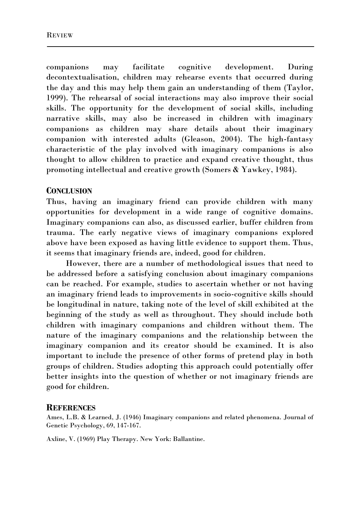companions may facilitate cognitive development. During decontextualisation, children may rehearse events that occurred during the day and this may help them gain an understanding of them (Taylor, 1999). The rehearsal of social interactions may also improve their social skills. The opportunity for the development of social skills, including narrative skills, may also be increased in children with imaginary companions as children may share details about their imaginary companion with interested adults (Gleason, 2004). The high-fantasy characteristic of the play involved with imaginary companions is also thought to allow children to practice and expand creative thought, thus promoting intellectual and creative growth (Somers & Yawkey, 1984).

### **CONCLUSION**

Thus, having an imaginary friend can provide children with many opportunities for development in a wide range of cognitive domains. Imaginary companions can also, as discussed earlier, buffer children from trauma. The early negative views of imaginary companions explored above have been exposed as having little evidence to support them. Thus, it seems that imaginary friends are, indeed, good for children.

However, there are a number of methodological issues that need to be addressed before a satisfying conclusion about imaginary companions can be reached. For example, studies to ascertain whether or not having an imaginary friend leads to improvements in socio-cognitive skills should be longitudinal in nature, taking note of the level of skill exhibited at the beginning of the study as well as throughout. They should include both children with imaginary companions and children without them. The nature of the imaginary companions and the relationship between the imaginary companion and its creator should be examined. It is also important to include the presence of other forms of pretend play in both groups of children. Studies adopting this approach could potentially offer better insights into the question of whether or not imaginary friends are good for children.

#### **REFERENCES**

Ames, L.B. & Learned, J. (1946) Imaginary companions and related phenomena. Journal of Genetic Psychology, 69, 147-167.

Axline, V. (1969) Play Therapy. New York: Ballantine.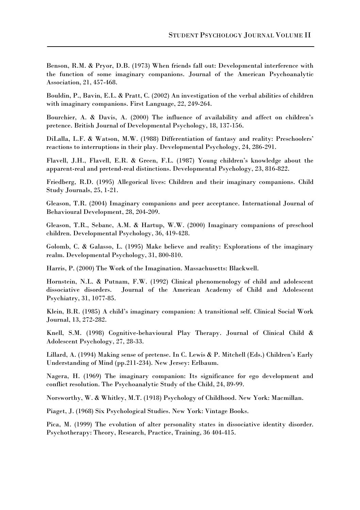Benson, R.M. & Pryor, D.B. (1973) When friends fall out: Developmental interference with the function of some imaginary companions. Journal of the American Psychoanalytic Association, 21, 457-468.

Bouldin, P., Bavin, E.L. & Pratt, C. (2002) An investigation of the verbal abilities of children with imaginary companions. First Language, 22, 249-264.

Bourchier, A. & Davis, A. (2000) The influence of availability and affect on children's pretence. British Journal of Developmental Psychology, 18, 137-156.

DiLalla, L.F. & Watson, M.W. (1988) Differentiation of fantasy and reality: Preschoolers' reactions to interruptions in their play. Developmental Psychology, 24, 286-291.

Flavell, J.H., Flavell, E.R. & Green, F.L. (1987) Young children's knowledge about the apparent-real and pretend-real distinctions. Developmental Psychology, 23, 816-822.

Friedberg, R.D. (1995) Allegorical lives: Children and their imaginary companions. Child Study Journals, 25, 1-21.

Gleason, T.R. (2004) Imaginary companions and peer acceptance. International Journal of Behavioural Development, 28, 204-209.

Gleason, T.R., Sebanc, A.M. & Hartup, W.W. (2000) Imaginary companions of preschool children. Developmental Psychology, 36, 419-428.

Golomb, C. & Galasso, L. (1995) Make believe and reality: Explorations of the imaginary realm. Developmental Psychology, 31, 800-810.

Harris, P. (2000) The Work of the Imagination. Massachusetts: Blackwell.

Hornstein, N.L. & Putnam, F.W. (1992) Clinical phenomenology of child and adolescent dissociative disorders. Journal of the American Academy of Child and Adolescent Psychiatry, 31, 1077-85.

Klein, B.R. (1985) A child's imaginary companion: A transitional self. Clinical Social Work Journal, 13, 272-282.

Knell, S.M. (1998) Cognitive-behavioural Play Therapy. Journal of Clinical Child & Adolescent Psychology, 27, 28-33.

Lillard, A. (1994) Making sense of pretense. In C. Lewis & P. Mitchell (Eds.) Children's Early Understanding of Mind (pp.211-234). New Jersey: Erlbaum.

Nagera, H. (1969) The imaginary companion: Its significance for ego development and conflict resolution. The Psychoanalytic Study of the Child, 24, 89-99.

Norsworthy, W. & Whitley, M.T. (1918) Psychology of Childhood. New York: Macmillan.

Piaget, J. (1968) Six Psychological Studies. New York: Vintage Books.

Pica, M. (1999) The evolution of alter personality states in dissociative identity disorder. Psychotherapy: Theory, Research, Practice, Training, 36 404-415.